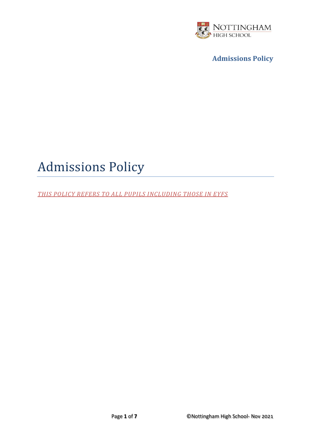

# Admissions Policy

*THIS POLICY REFERS TO ALL PUPILS INCLUDING THOSE IN EYFS*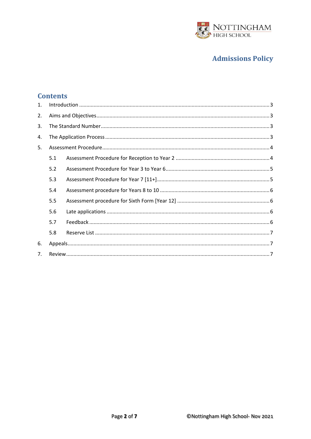

## **Contents**

| $\mathbf{1}$ . |     |  |
|----------------|-----|--|
| 2.             |     |  |
| 3.             |     |  |
| 4.             |     |  |
| 5.             |     |  |
|                | 5.1 |  |
|                | 5.2 |  |
|                | 5.3 |  |
|                | 5.4 |  |
|                | 5.5 |  |
|                | 5.6 |  |
|                | 5.7 |  |
|                | 5.8 |  |
| 6.             |     |  |
| 7 <sub>1</sub> |     |  |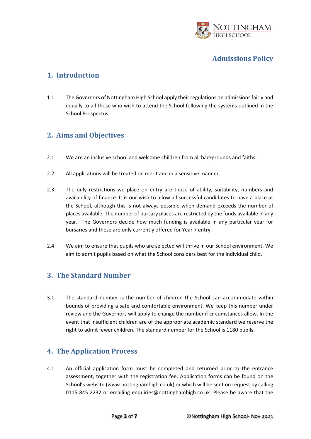

#### <span id="page-2-0"></span>**1. Introduction**

1.1 The Governors of Nottingham High School apply their regulations on admissions fairly and equally to all those who wish to attend the School following the systems outlined in the School Prospectus.

#### <span id="page-2-1"></span>**2. Aims and Objectives**

- 2.1 We are an inclusive school and welcome children from all backgrounds and faiths.
- 2.2 All applications will be treated on merit and in a sensitive manner.
- 2.3 The only restrictions we place on entry are those of ability, suitability, numbers and availability of finance. It is our wish to allow all successful candidates to have a place at the School, although this is not always possible when demand exceeds the number of places available. The number of bursary places are restricted by the funds available in any year. The Governors decide how much funding is available in any particular year for bursaries and these are only currently offered for Year 7 entry.
- 2.4 We aim to ensure that pupils who are selected will thrive in our School environment. We aim to admit pupils based on what the School considers best for the individual child.

#### <span id="page-2-2"></span>**3. The Standard Number**

3.1 The standard number is the number of children the School can accommodate within bounds of providing a safe and comfortable environment. We keep this number under review and the Governors will apply to change the number if circumstances allow. In the event that insufficient children are of the appropriate academic standard we reserve the right to admit fewer children. The standard number for the School is 1180 pupils.

#### <span id="page-2-3"></span>**4. The Application Process**

4.1 An official application form must be completed and returned prior to the entrance assessment, together with the registration fee. Application forms can be found on the School's website ([www.nottinghamhigh.co.uk\)](http://www.nottinghamhigh.co.uk/) or which will be sent on request by calling 0115 845 2232 or emailing [enquiries@nottinghamhigh.co.uk.](mailto:enquiries@nottinghamhigh.co.uk) Please be aware that the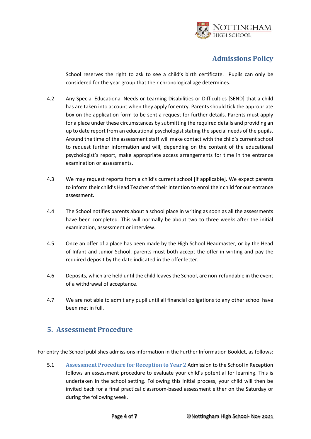

School reserves the right to ask to see a child's birth certificate. Pupils can only be considered for the year group that their chronological age determines.

- 4.2 Any Special Educational Needs or Learning Disabilities or Difficulties [SEND] that a child has are taken into account when they apply for entry. Parents should tick the appropriate box on the application form to be sent a request for further details. Parents must apply for a place under these circumstances by submitting the required details and providing an up to date report from an educational psychologist stating the special needs of the pupils. Around the time of the assessment staff will make contact with the child's current school to request further information and will, depending on the content of the educational psychologist's report, make appropriate access arrangements for time in the entrance examination or assessments.
- 4.3 We may request reports from a child's current school [if applicable]. We expect parents to inform their child's Head Teacher of their intention to enrol their child for our entrance assessment.
- 4.4 The School notifies parents about a school place in writing as soon as all the assessments have been completed. This will normally be about two to three weeks after the initial examination, assessment or interview.
- 4.5 Once an offer of a place has been made by the High School Headmaster, or by the Head of Infant and Junior School, parents must both accept the offer in writing and pay the required deposit by the date indicated in the offer letter.
- 4.6 Deposits, which are held until the child leaves the School, are non-refundable in the event of a withdrawal of acceptance.
- 4.7 We are not able to admit any pupil until all financial obligations to any other school have been met in full.

#### <span id="page-3-0"></span>**5. Assessment Procedure**

For entry the School publishes admissions information in the Further Information Booklet, as follows:

<span id="page-3-1"></span>5.1 **Assessment Procedure for Reception to Year 2** Admission to the School in Reception follows an assessment procedure to evaluate your child's potential for learning. This is undertaken in the school setting. Following this initial process, your child will then be invited back for a final practical classroom-based assessment either on the Saturday or during the following week.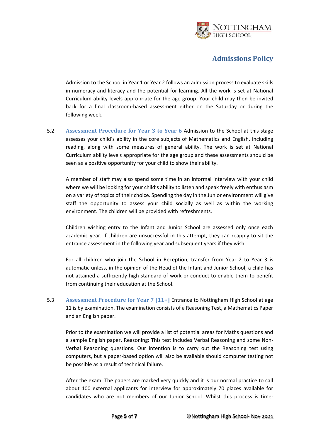

Admission to the School in Year 1 or Year 2 follows an admission process to evaluate skills in numeracy and literacy and the potential for learning. All the work is set at National Curriculum ability levels appropriate for the age group. Your child may then be invited back for a final classroom-based assessment either on the Saturday or during the following week.

<span id="page-4-0"></span>5.2 **Assessment Procedure for Year 3 to Year 6** Admission to the School at this stage assesses your child's ability in the core subjects of Mathematics and English, including reading, along with some measures of general ability. The work is set at National Curriculum ability levels appropriate for the age group and these assessments should be seen as a positive opportunity for your child to show their ability.

A member of staff may also spend some time in an informal interview with your child where we will be looking for your child's ability to listen and speak freely with enthusiasm on a variety of topics of their choice. Spending the day in the Junior environment will give staff the opportunity to assess your child socially as well as within the working environment. The children will be provided with refreshments.

Children wishing entry to the Infant and Junior School are assessed only once each academic year. If children are unsuccessful in this attempt, they can reapply to sit the entrance assessment in the following year and subsequent years if they wish.

For all children who join the School in Reception, transfer from Year 2 to Year 3 is automatic unless, in the opinion of the Head of the Infant and Junior School, a child has not attained a sufficiently high standard of work or conduct to enable them to benefit from continuing their education at the School.

<span id="page-4-1"></span>5.3 **Assessment Procedure for Year 7 [11+]** Entrance to Nottingham High School at age 11 is by examination. The examination consists of a Reasoning Test, a Mathematics Paper and an English paper.

Prior to the examination we will provide a list of potential areas for Maths questions and a sample English paper. Reasoning: This test includes Verbal Reasoning and some Non-Verbal Reasoning questions. Our intention is to carry out the Reasoning test using computers, but a paper-based option will also be available should computer testing not be possible as a result of technical failure.

After the exam: The papers are marked very quickly and it is our normal practice to call about 100 external applicants for interview for approximately 70 places available for candidates who are not members of our Junior School. Whilst this process is time-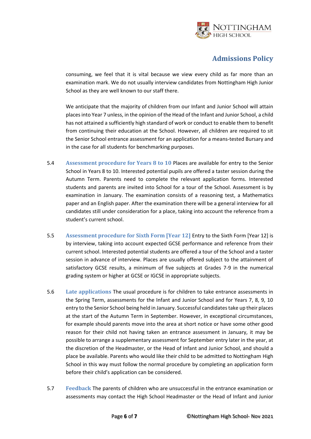

consuming, we feel that it is vital because we view every child as far more than an examination mark. We do not usually interview candidates from Nottingham High Junior School as they are well known to our staff there.

We anticipate that the majority of children from our Infant and Junior School will attain places into Year 7 unless, in the opinion of the Head of the Infant and Junior School, a child has not attained a sufficiently high standard of work or conduct to enable them to benefit from continuing their education at the School. However, all children are required to sit the Senior School entrance assessment for an application for a means-tested Bursary and in the case for all students for benchmarking purposes.

- <span id="page-5-0"></span>5.4 **Assessment procedure for Years 8 to 10** Places are available for entry to the Senior School in Years 8 to 10. Interested potential pupils are offered a taster session during the Autumn Term. Parents need to complete the relevant application forms. Interested students and parents are invited into School for a tour of the School. Assessment is by examination in January. The examination consists of a reasoning test, a Mathematics paper and an English paper. After the examination there will be a general interview for all candidates still under consideration for a place, taking into account the reference from a student's current school.
- <span id="page-5-1"></span>5.5 **Assessment procedure for Sixth Form [Year 12]** Entry to the Sixth Form [Year 12] is by interview, taking into account expected GCSE performance and reference from their current school. Interested potential students are offered a tour of the School and a taster session in advance of interview. Places are usually offered subject to the attainment of satisfactory GCSE results, a minimum of five subjects at Grades 7-9 in the numerical grading system or higher at GCSE or IGCSE in appropriate subjects.
- <span id="page-5-2"></span>5.6 **Late applications** The usual procedure is for children to take entrance assessments in the Spring Term, assessments for the Infant and Junior School and for Years 7, 8, 9, 10 entry to the Senior School being held in January. Successful candidates take up their places at the start of the Autumn Term in September. However, in exceptional circumstances, for example should parents move into the area at short notice or have some other good reason for their child not having taken an entrance assessment in January, it may be possible to arrange a supplementary assessment for September entry later in the year, at the discretion of the Headmaster, or the Head of Infant and Junior School, and should a place be available. Parents who would like their child to be admitted to Nottingham High School in this way must follow the normal procedure by completing an application form before their child's application can be considered.
- <span id="page-5-3"></span>5.7 **Feedback** The parents of children who are unsuccessful in the entrance examination or assessments may contact the High School Headmaster or the Head of Infant and Junior